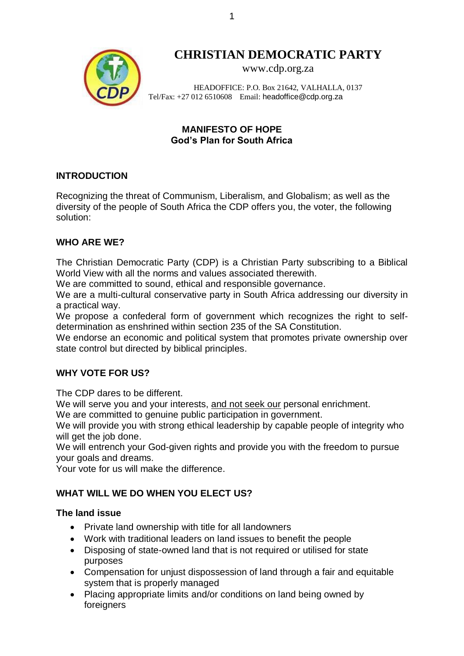

# **CHRISTIAN DEMOCRATIC PARTY**

[www.cdp.org.za](http://www.cdp.org.za/)

HEADOFFICE: P.O. Box 21642, VALHALLA, 0137 Tel/Fax: +27 012 6510608 Email: [headoffice@cdp.org.za](mailto:headoffice@cdp.org.za)

## **MANIFESTO OF HOPE God's Plan for South Africa**

#### **INTRODUCTION**

Recognizing the threat of Communism, Liberalism, and Globalism; as well as the diversity of the people of South Africa the CDP offers you, the voter, the following solution:

#### **WHO ARE WE?**

The Christian Democratic Party (CDP) is a Christian Party subscribing to a Biblical World View with all the norms and values associated therewith.

We are committed to sound, ethical and responsible governance.

We are a multi-cultural conservative party in South Africa addressing our diversity in a practical way.

We propose a confederal form of government which recognizes the right to selfdetermination as enshrined within section 235 of the SA Constitution.

We endorse an economic and political system that promotes private ownership over state control but directed by biblical principles.

#### **WHY VOTE FOR US?**

The CDP dares to be different.

We will serve you and your interests, and not seek our personal enrichment.

We are committed to genuine public participation in government.

We will provide you with strong ethical leadership by capable people of integrity who will get the job done.

We will entrench your God-given rights and provide you with the freedom to pursue your goals and dreams.

Your vote for us will make the difference.

# **WHAT WILL WE DO WHEN YOU ELECT US?**

#### **The land issue**

- Private land ownership with title for all landowners
- Work with traditional leaders on land issues to benefit the people
- Disposing of state-owned land that is not required or utilised for state purposes
- Compensation for unjust dispossession of land through a fair and equitable system that is properly managed
- Placing appropriate limits and/or conditions on land being owned by foreigners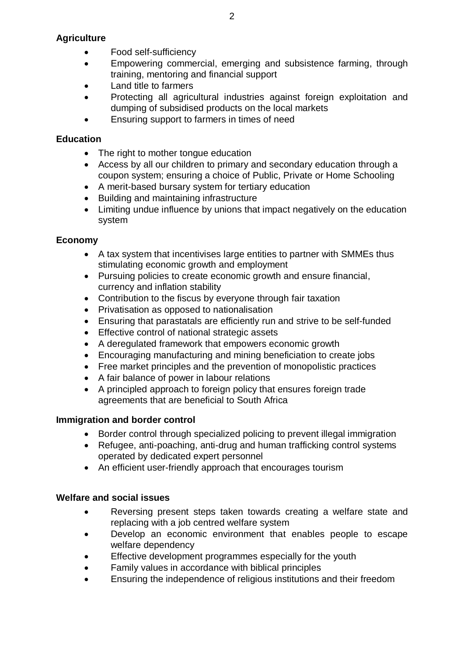#### **Agriculture**

- Food self-sufficiency
- Empowering commercial, emerging and subsistence farming, through training, mentoring and financial support
- Land title to farmers
- Protecting all agricultural industries against foreign exploitation and dumping of subsidised products on the local markets
- Ensuring support to farmers in times of need

#### **Education**

- The right to mother tongue education
- Access by all our children to primary and secondary education through a coupon system; ensuring a choice of Public, Private or Home Schooling
- A merit-based bursary system for tertiary education
- Building and maintaining infrastructure
- Limiting undue influence by unions that impact negatively on the education system

# **Economy**

- A tax system that incentivises large entities to partner with SMMEs thus stimulating economic growth and employment
- Pursuing policies to create economic growth and ensure financial, currency and inflation stability
- Contribution to the fiscus by everyone through fair taxation
- Privatisation as opposed to nationalisation
- Ensuring that parastatals are efficiently run and strive to be self-funded
- Effective control of national strategic assets
- A deregulated framework that empowers economic growth
- Encouraging manufacturing and mining beneficiation to create jobs
- Free market principles and the prevention of monopolistic practices
- A fair balance of power in labour relations
- A principled approach to foreign policy that ensures foreign trade agreements that are beneficial to South Africa

#### **Immigration and border control**

- Border control through specialized policing to prevent illegal immigration
- Refugee, anti-poaching, anti-drug and human trafficking control systems operated by dedicated expert personnel
- An efficient user-friendly approach that encourages tourism

#### **Welfare and social issues**

- Reversing present steps taken towards creating a welfare state and replacing with a job centred welfare system
- Develop an economic environment that enables people to escape welfare dependency
- Effective development programmes especially for the youth
- Family values in accordance with biblical principles
- Ensuring the independence of religious institutions and their freedom